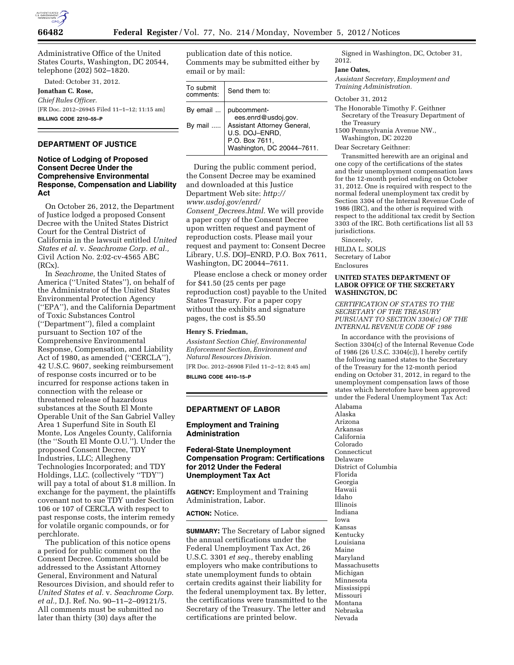

Administrative Office of the United States Courts, Washington, DC 20544, telephone (202) 502–1820.

Dated: October 31, 2012.

**Jonathan C. Rose,**  *Chief Rules Officer.*  [FR Doc. 2012–26945 Filed 11–1–12; 11:15 am] **BILLING CODE 2210–55–P** 

# **DEPARTMENT OF JUSTICE**

## **Notice of Lodging of Proposed Consent Decree Under the Comprehensive Environmental Response, Compensation and Liability Act**

On October 26, 2012, the Department of Justice lodged a proposed Consent Decree with the United States District Court for the Central District of California in the lawsuit entitled *United States et al.* v. *Seachrome Corp. et al.,*  Civil Action No. 2:02-cv-4565 ABC (RCx).

In *Seachrome,* the United States of America (''United States''), on behalf of the Administrator of the United States Environmental Protection Agency (''EPA''), and the California Department of Toxic Substances Control (''Department''), filed a complaint pursuant to Section 107 of the Comprehensive Environmental Response, Compensation, and Liability Act of 1980, as amended (''CERCLA''), 42 U.S.C. 9607, seeking reimbursement of response costs incurred or to be incurred for response actions taken in connection with the release or threatened release of hazardous substances at the South El Monte Operable Unit of the San Gabriel Valley Area 1 Superfund Site in South El Monte, Los Angeles County, California (the ''South El Monte O.U.''). Under the proposed Consent Decree, TDY Industries, LLC; Allegheny Technologies Incorporated; and TDY Holdings, LLC. (collectively ''TDY'') will pay a total of about \$1.8 million. In exchange for the payment, the plaintiffs covenant not to sue TDY under Section 106 or 107 of CERCLA with respect to past response costs, the interim remedy for volatile organic compounds, or for perchlorate.

The publication of this notice opens a period for public comment on the Consent Decree. Comments should be addressed to the Assistant Attorney General, Environment and Natural Resources Division, and should refer to *United States et al.* v. *Seachrome Corp. et al.,* D.J. Ref. No. 90–11–2–09121/5. All comments must be submitted no later than thirty (30) days after the

publication date of this notice. Comments may be submitted either by email or by mail:

| To submit<br>comments: | Send them to:                                                                                 |
|------------------------|-----------------------------------------------------------------------------------------------|
| By email               | pubcomment-<br>ees.enrd@usdoj.gov.                                                            |
| By mail                | Assistant Attorney General,<br>U.S. DOJ-ENRD,<br>P.O. Box 7611,<br>Washington, DC 20044-7611. |

During the public comment period, the Consent Decree may be examined and downloaded at this Justice Department Web site: *[http://](http://www.usdoj.gov/enrd/Consent_Decrees.html)  [www.usdoj.gov/enrd/](http://www.usdoj.gov/enrd/Consent_Decrees.html) Consent*\_*[Decrees.html.](http://www.usdoj.gov/enrd/Consent_Decrees.html)* We will provide a paper copy of the Consent Decree upon written request and payment of reproduction costs. Please mail your request and payment to: Consent Decree Library, U.S. DOJ–ENRD, P.O. Box 7611, Washington, DC 20044–7611.

Please enclose a check or money order for \$41.50 (25 cents per page reproduction cost) payable to the United States Treasury. For a paper copy without the exhibits and signature pages, the cost is \$5.50

#### **Henry S. Friedman,**

*Assistant Section Chief, Environmental Enforcement Section, Environment and Natural Resources Division.*  [FR Doc. 2012–26908 Filed 11–2–12; 8:45 am]

**BILLING CODE 4410–15–P** 

#### **DEPARTMENT OF LABOR**

## **Employment and Training Administration**

## **Federal-State Unemployment Compensation Program: Certifications for 2012 Under the Federal Unemployment Tax Act**

**AGENCY:** Employment and Training Administration, Labor.

**ACTION:** Notice.

**SUMMARY:** The Secretary of Labor signed the annual certifications under the Federal Unemployment Tax Act, 26 U.S.C. 3301 *et seq.,* thereby enabling employers who make contributions to state unemployment funds to obtain certain credits against their liability for the federal unemployment tax. By letter, the certifications were transmitted to the Secretary of the Treasury. The letter and certifications are printed below.

Signed in Washington, DC, October 31, 2012.

### **Jane Oates,**

*Assistant Secretary, Employment and Training Administration.* 

October 31, 2012

The Honorable Timothy F. Geithner Secretary of the Treasury Department of the Treasury

1500 Pennsylvania Avenue NW., Washington, DC 20220

Dear Secretary Geithner:

Transmitted herewith are an original and one copy of the certifications of the states and their unemployment compensation laws for the 12-month period ending on October 31, 2012. One is required with respect to the normal federal unemployment tax credit by Section 3304 of the Internal Revenue Code of 1986 (IRC), and the other is required with respect to the additional tax credit by Section 3303 of the IRC. Both certifications list all 53 jurisdictions.

Sincerely, HILDA L. SOLIS Secretary of Labor Enclosures

### **UNITED STATES DEPARTMENT OF LABOR OFFICE OF THE SECRETARY WASHINGTON, DC**

*CERTIFICATION OF STATES TO THE SECRETARY OF THE TREASURY PURSUANT TO SECTION 3304(c) OF THE INTERNAL REVENUE CODE OF 1986* 

In accordance with the provisions of Section 3304(c) of the Internal Revenue Code of 1986 (26 U.S.C. 3304(c)), I hereby certify the following named states to the Secretary of the Treasury for the 12-month period ending on October 31, 2012, in regard to the unemployment compensation laws of those states which heretofore have been approved under the Federal Unemployment Tax Act:

Alabama Alaska Arizona Arkansas California Colorado Connecticut Delaware District of Columbia Florida Georgia Hawaii Idaho Illinois Indiana Iowa Kansas Kentucky Louisiana Maine Maryland Massachusetts Michigan Minnesota Mississippi Missouri Montana Nebraska Nevada